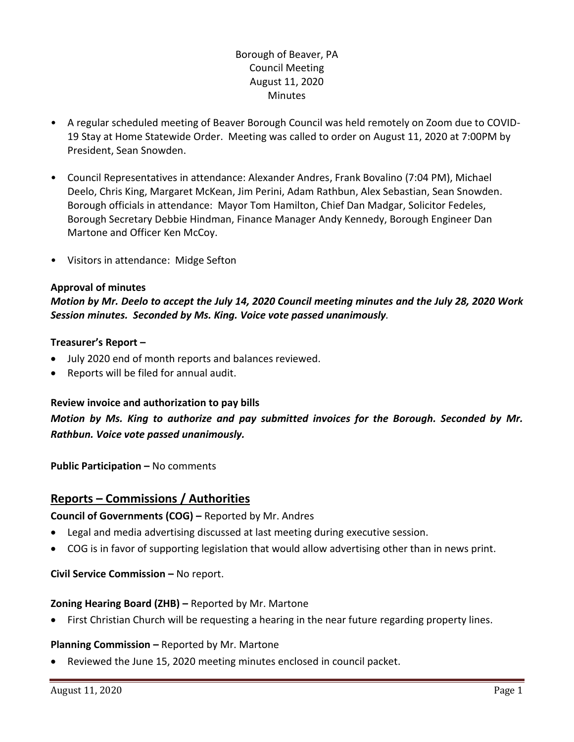# Borough of Beaver, PA Council Meeting August 11, 2020 Minutes

- A regular scheduled meeting of Beaver Borough Council was held remotely on Zoom due to COVID-19 Stay at Home Statewide Order. Meeting was called to order on August 11, 2020 at 7:00PM by President, Sean Snowden.
- Council Representatives in attendance: Alexander Andres, Frank Bovalino (7:04 PM), Michael Deelo, Chris King, Margaret McKean, Jim Perini, Adam Rathbun, Alex Sebastian, Sean Snowden. Borough officials in attendance: Mayor Tom Hamilton, Chief Dan Madgar, Solicitor Fedeles, Borough Secretary Debbie Hindman, Finance Manager Andy Kennedy, Borough Engineer Dan Martone and Officer Ken McCoy.
- Visitors in attendance: Midge Sefton

#### **Approval of minutes**

*Motion by Mr. Deelo to accept the July 14, 2020 Council meeting minutes and the July 28, 2020 Work Session minutes. Seconded by Ms. King. Voice vote passed unanimously.* 

#### **Treasurer's Report –**

- July 2020 end of month reports and balances reviewed.
- Reports will be filed for annual audit.

#### **Review invoice and authorization to pay bills**

*Motion by Ms. King to authorize and pay submitted invoices for the Borough. Seconded by Mr. Rathbun. Voice vote passed unanimously.*

**Public Participation – No comments** 

# **Reports – Commissions / Authorities**

**Council of Governments (COG) –** Reported by Mr. Andres

- Legal and media advertising discussed at last meeting during executive session.
- COG is in favor of supporting legislation that would allow advertising other than in news print.

**Civil Service Commission – No report.** 

#### **Zoning Hearing Board (ZHB) –** Reported by Mr. Martone

First Christian Church will be requesting a hearing in the near future regarding property lines.

#### **Planning Commission –** Reported by Mr. Martone

Reviewed the June 15, 2020 meeting minutes enclosed in council packet.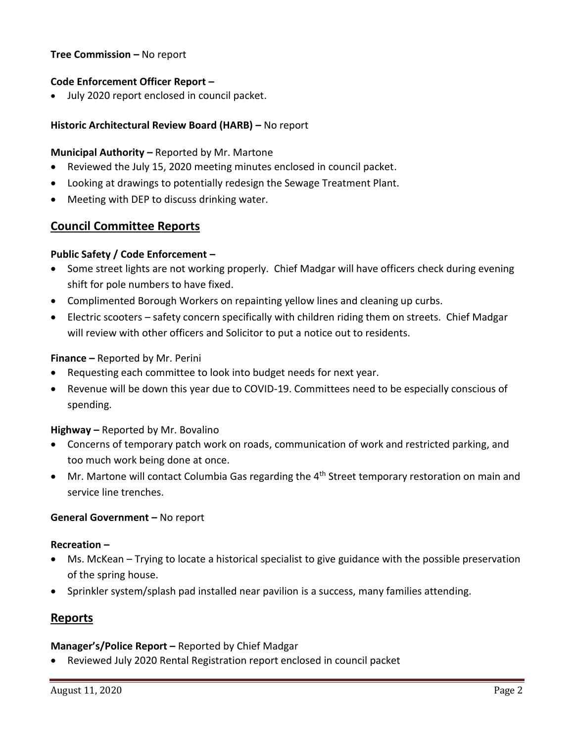### **Tree Commission –** No report

#### **Code Enforcement Officer Report –**

July 2020 report enclosed in council packet.

### **Historic Architectural Review Board (HARB) –** No report

#### **Municipal Authority –** Reported by Mr. Martone

- Reviewed the July 15, 2020 meeting minutes enclosed in council packet.
- Looking at drawings to potentially redesign the Sewage Treatment Plant.
- Meeting with DEP to discuss drinking water.

# **Council Committee Reports**

#### **Public Safety / Code Enforcement –**

- Some street lights are not working properly. Chief Madgar will have officers check during evening shift for pole numbers to have fixed.
- Complimented Borough Workers on repainting yellow lines and cleaning up curbs.
- Electric scooters safety concern specifically with children riding them on streets. Chief Madgar will review with other officers and Solicitor to put a notice out to residents.

#### **Finance –** Reported by Mr. Perini

- Requesting each committee to look into budget needs for next year.
- Revenue will be down this year due to COVID-19. Committees need to be especially conscious of spending.

#### **Highway –** Reported by Mr. Bovalino

- Concerns of temporary patch work on roads, communication of work and restricted parking, and too much work being done at once.
- $\bullet$  Mr. Martone will contact Columbia Gas regarding the 4<sup>th</sup> Street temporary restoration on main and service line trenches.

#### **General Government –** No report

#### **Recreation –**

- Ms. McKean Trying to locate a historical specialist to give guidance with the possible preservation of the spring house.
- Sprinkler system/splash pad installed near pavilion is a success, many families attending.

# **Reports**

#### **Manager's/Police Report –** Reported by Chief Madgar

Reviewed July 2020 Rental Registration report enclosed in council packet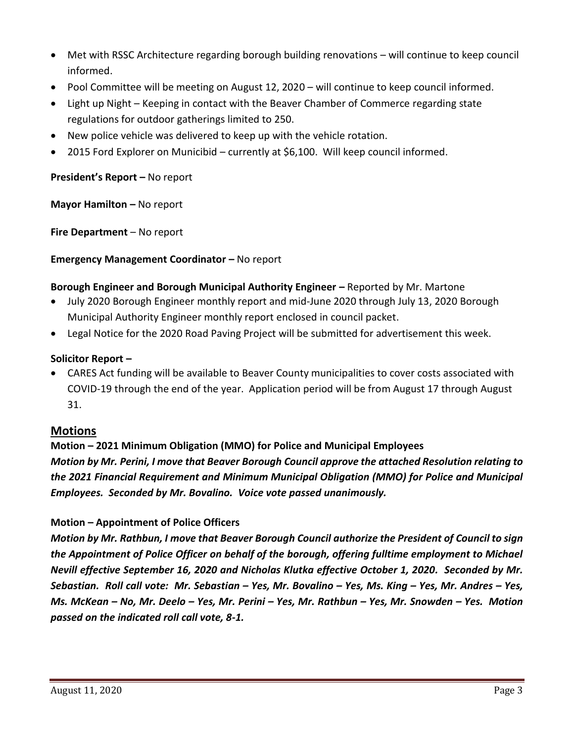- Met with RSSC Architecture regarding borough building renovations will continue to keep council informed.
- Pool Committee will be meeting on August 12, 2020 will continue to keep council informed.
- Light up Night Keeping in contact with the Beaver Chamber of Commerce regarding state regulations for outdoor gatherings limited to 250.
- New police vehicle was delivered to keep up with the vehicle rotation.
- 2015 Ford Explorer on Municibid currently at \$6,100. Will keep council informed.

## **President's Report –** No report

**Mayor Hamilton – No report** 

**Fire Department** – No report

### **Emergency Management Coordinator – No report**

### **Borough Engineer and Borough Municipal Authority Engineer –** Reported by Mr. Martone

- July 2020 Borough Engineer monthly report and mid-June 2020 through July 13, 2020 Borough Municipal Authority Engineer monthly report enclosed in council packet.
- Legal Notice for the 2020 Road Paving Project will be submitted for advertisement this week.

### **Solicitor Report –**

 CARES Act funding will be available to Beaver County municipalities to cover costs associated with COVID-19 through the end of the year. Application period will be from August 17 through August 31.

# **Motions**

# **Motion – 2021 Minimum Obligation (MMO) for Police and Municipal Employees** *Motion by Mr. Perini, I move that Beaver Borough Council approve the attached Resolution relating to the 2021 Financial Requirement and Minimum Municipal Obligation (MMO) for Police and Municipal Employees. Seconded by Mr. Bovalino. Voice vote passed unanimously.*

#### **Motion – Appointment of Police Officers**

*Motion by Mr. Rathbun, I move that Beaver Borough Council authorize the President of Council to sign the Appointment of Police Officer on behalf of the borough, offering fulltime employment to Michael Nevill effective September 16, 2020 and Nicholas Klutka effective October 1, 2020. Seconded by Mr. Sebastian. Roll call vote: Mr. Sebastian – Yes, Mr. Bovalino – Yes, Ms. King – Yes, Mr. Andres – Yes, Ms. McKean – No, Mr. Deelo – Yes, Mr. Perini – Yes, Mr. Rathbun – Yes, Mr. Snowden – Yes. Motion passed on the indicated roll call vote, 8-1.*